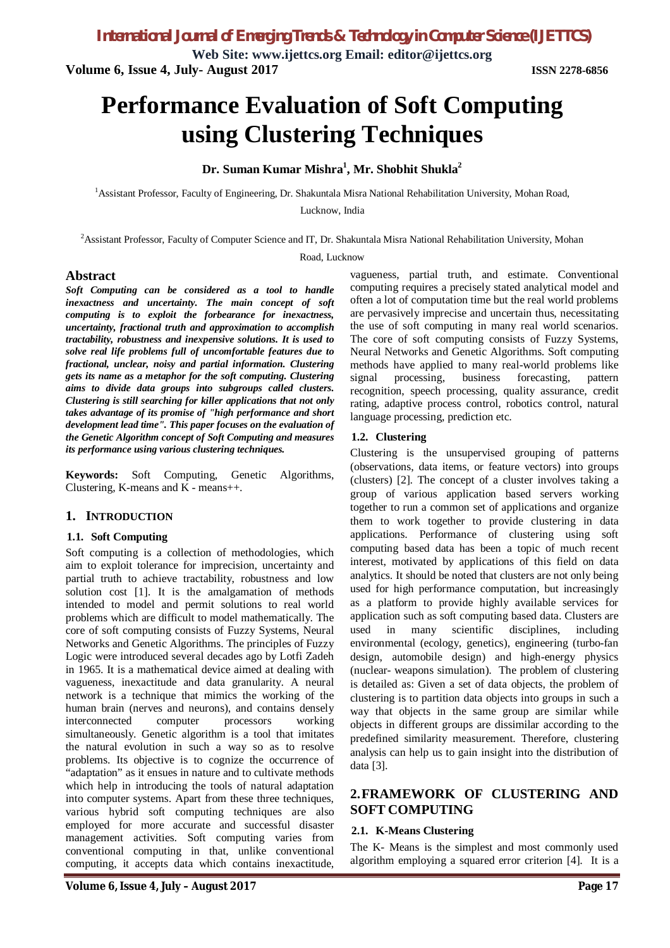*International Journal of Emerging Trends & Technology in Computer Science (IJETTCS)*

**Web Site: www.ijettcs.org Email: editor@ijettcs.org Volume 6, Issue 4, July- August 2017 ISSN 2278-6856**

# **Performance Evaluation of Soft Computing using Clustering Techniques**

**Dr. Suman Kumar Mishra<sup>1</sup> , Mr. Shobhit Shukla<sup>2</sup>**

<sup>1</sup>Assistant Professor, Faculty of Engineering, Dr. Shakuntala Misra National Rehabilitation University, Mohan Road,

Lucknow, India

<sup>2</sup>Assistant Professor, Faculty of Computer Science and IT, Dr. Shakuntala Misra National Rehabilitation University, Mohan

Road, Lucknow

#### **Abstract**

*Soft Computing can be considered as a tool to handle inexactness and uncertainty. The main concept of soft computing is to exploit the forbearance for inexactness, uncertainty, fractional truth and approximation to accomplish tractability, robustness and inexpensive solutions. It is used to solve real life problems full of uncomfortable features due to fractional, unclear, noisy and partial information. Clustering gets its name as a metaphor for the soft computing. Clustering aims to divide data groups into subgroups called clusters. Clustering is still searching for killer applications that not only takes advantage of its promise of "high performance and short development lead time". This paper focuses on the evaluation of the Genetic Algorithm concept of Soft Computing and measures its performance using various clustering techniques.* 

**Keywords:** Soft Computing, Genetic Algorithms, Clustering, K-means and K - means++.

## **1. INTRODUCTION**

#### **1.1. Soft Computing**

Soft computing is a collection of methodologies, which aim to exploit tolerance for imprecision, uncertainty and partial truth to achieve tractability, robustness and low solution cost [1]. It is the amalgamation of methods intended to model and permit solutions to real world problems which are difficult to model mathematically. The core of soft computing consists of Fuzzy Systems, Neural Networks and Genetic Algorithms. The principles of Fuzzy Logic were introduced several decades ago by Lotfi Zadeh in 1965. It is a mathematical device aimed at dealing with vagueness, inexactitude and data granularity. A neural network is a technique that mimics the working of the human brain (nerves and neurons), and contains densely interconnected computer processors working simultaneously. Genetic algorithm is a tool that imitates the natural evolution in such a way so as to resolve problems. Its objective is to cognize the occurrence of "adaptation" as it ensues in nature and to cultivate methods which help in introducing the tools of natural adaptation into computer systems. Apart from these three techniques, various hybrid soft computing techniques are also employed for more accurate and successful disaster management activities. Soft computing varies from conventional computing in that, unlike conventional computing, it accepts data which contains inexactitude,

vagueness, partial truth, and estimate. Conventional computing requires a precisely stated analytical model and often a lot of computation time but the real world problems are pervasively imprecise and uncertain thus, necessitating the use of soft computing in many real world scenarios. The core of soft computing consists of Fuzzy Systems, Neural Networks and Genetic Algorithms. Soft computing methods have applied to many real-world problems like signal processing, business forecasting, pattern recognition, speech processing, quality assurance, credit rating, adaptive process control, robotics control, natural language processing, prediction etc.

#### **1.2. Clustering**

Clustering is the unsupervised grouping of patterns (observations, data items, or feature vectors) into groups (clusters) [2]. The concept of a cluster involves taking a group of various application based servers working together to run a common set of applications and organize them to work together to provide clustering in data applications. Performance of clustering using soft computing based data has been a topic of much recent interest, motivated by applications of this field on data analytics. It should be noted that clusters are not only being used for high performance computation, but increasingly as a platform to provide highly available services for application such as soft computing based data. Clusters are used in many scientific disciplines, including environmental (ecology, genetics), engineering (turbo-fan design, automobile design) and high-energy physics (nuclear- weapons simulation). The problem of clustering is detailed as: Given a set of data objects, the problem of clustering is to partition data objects into groups in such a way that objects in the same group are similar while objects in different groups are dissimilar according to the predefined similarity measurement. Therefore, clustering analysis can help us to gain insight into the distribution of data [3].

## **2.FRAMEWORK OF CLUSTERING AND SOFT COMPUTING**

#### **2.1. K-Means Clustering**

The K- Means is the simplest and most commonly used algorithm employing a squared error criterion [4]. It is a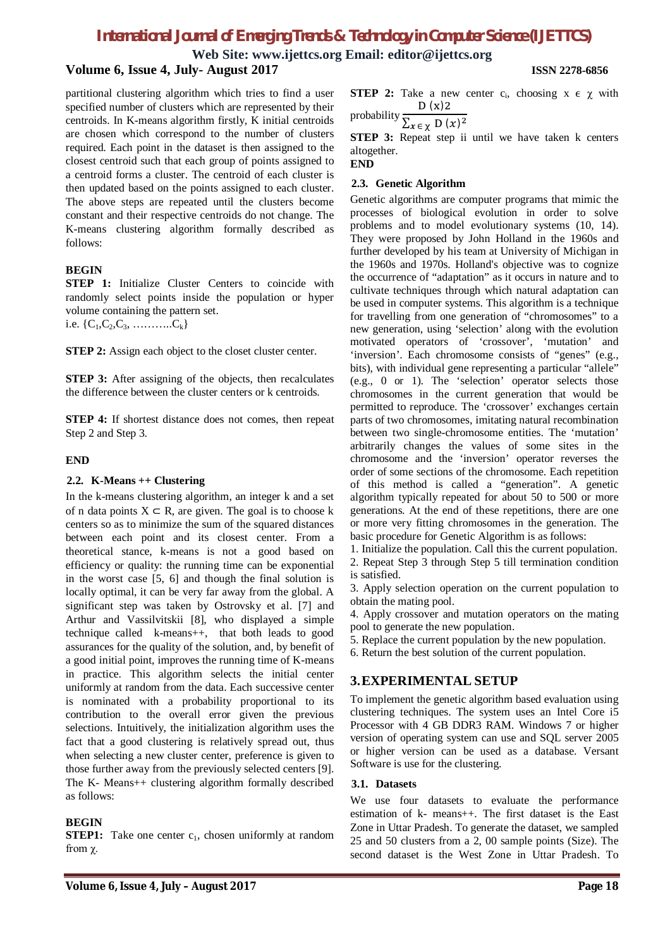**Web Site: www.ijettcs.org Email: editor@ijettcs.org**

## **Volume 6, Issue 4, July- August 2017 ISSN 2278-6856**

partitional clustering algorithm which tries to find a user specified number of clusters which are represented by their centroids. In K-means algorithm firstly, K initial centroids are chosen which correspond to the number of clusters required. Each point in the dataset is then assigned to the closest centroid such that each group of points assigned to a centroid forms a cluster. The centroid of each cluster is then updated based on the points assigned to each cluster. The above steps are repeated until the clusters become constant and their respective centroids do not change. The K-means clustering algorithm formally described as follows:

## **BEGIN**

**STEP 1:** Initialize Cluster Centers to coincide with randomly select points inside the population or hyper volume containing the pattern set.

i.e.  $\{C_1, C_2, C_3, \ldots, C_k\}$ 

**STEP 2:** Assign each object to the closet cluster center.

**STEP 3:** After assigning of the objects, then recalculates the difference between the cluster centers or k centroids.

**STEP 4:** If shortest distance does not comes, then repeat Step 2 and Step 3.

## **END**

## **2.2. K-Means ++ Clustering**

In the k-means clustering algorithm, an integer k and a set of n data points  $X \subset R$ , are given. The goal is to choose k centers so as to minimize the sum of the squared distances between each point and its closest center. From a theoretical stance, k-means is not a good based on efficiency or quality: the running time can be exponential in the worst case [5, 6] and though the final solution is locally optimal, it can be very far away from the global. A significant step was taken by Ostrovsky et al. [7] and Arthur and Vassilvitskii [8], who displayed a simple technique called k-means++, that both leads to good assurances for the quality of the solution, and, by benefit of a good initial point, improves the running time of K-means in practice. This algorithm selects the initial center uniformly at random from the data. Each successive center is nominated with a probability proportional to its contribution to the overall error given the previous selections. Intuitively, the initialization algorithm uses the fact that a good clustering is relatively spread out, thus when selecting a new cluster center, preference is given to those further away from the previously selected centers [9]. The K- Means++ clustering algorithm formally described as follows:

## **BEGIN**

**STEP1:** Take one center  $c_1$ , chosen uniformly at random from χ.

**STEP 2:** Take a new center  $c_i$ , choosing  $x \in \chi$  with probabilit  $D(x)2$ 

$$
\frac{\text{probability}}{\sum_{x \in \chi} D(x)^2}
$$

**STEP 3:** Repeat step ii until we have taken k centers altogether. **END**

## **2.3. Genetic Algorithm**

Genetic algorithms are computer programs that mimic the processes of biological evolution in order to solve problems and to model evolutionary systems (10, 14). They were proposed by John Holland in the 1960s and further developed by his team at University of Michigan in the 1960s and 1970s. Holland's objective was to cognize the occurrence of "adaptation" as it occurs in nature and to cultivate techniques through which natural adaptation can be used in computer systems. This algorithm is a technique for travelling from one generation of "chromosomes" to a new generation, using 'selection' along with the evolution motivated operators of 'crossover', 'mutation' and 'inversion'. Each chromosome consists of "genes" (e.g., bits), with individual gene representing a particular "allele" (e.g., 0 or 1). The 'selection' operator selects those chromosomes in the current generation that would be permitted to reproduce. The 'crossover' exchanges certain parts of two chromosomes, imitating natural recombination between two single-chromosome entities. The 'mutation' arbitrarily changes the values of some sites in the chromosome and the 'inversion' operator reverses the order of some sections of the chromosome. Each repetition of this method is called a "generation". A genetic algorithm typically repeated for about 50 to 500 or more generations. At the end of these repetitions, there are one or more very fitting chromosomes in the generation. The basic procedure for Genetic Algorithm is as follows:

1. Initialize the population. Call this the current population. 2. Repeat Step 3 through Step 5 till termination condition is satisfied.

3. Apply selection operation on the current population to obtain the mating pool.

4. Apply crossover and mutation operators on the mating pool to generate the new population.

5. Replace the current population by the new population.

6. Return the best solution of the current population.

## **3.EXPERIMENTAL SETUP**

To implement the genetic algorithm based evaluation using clustering techniques. The system uses an Intel Core i5 Processor with 4 GB DDR3 RAM. Windows 7 or higher version of operating system can use and SQL server 2005 or higher version can be used as a database. Versant Software is use for the clustering.

#### **3.1. Datasets**

We use four datasets to evaluate the performance estimation of k- means++. The first dataset is the East Zone in Uttar Pradesh. To generate the dataset, we sampled 25 and 50 clusters from a 2, 00 sample points (Size). The second dataset is the West Zone in Uttar Pradesh. To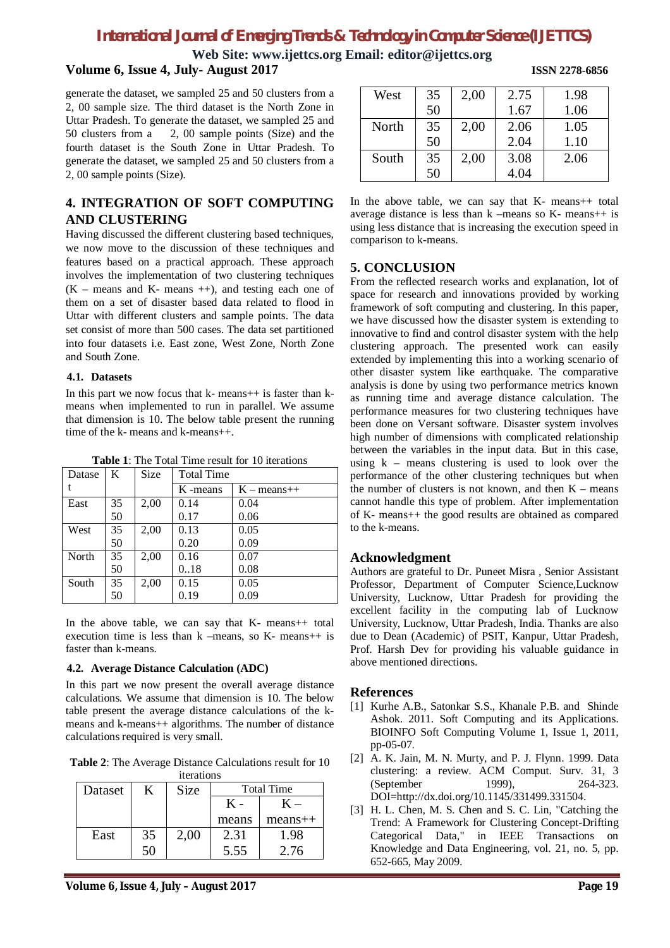# *International Journal of Emerging Trends & Technology in Computer Science (IJETTCS)*

**Web Site: www.ijettcs.org Email: editor@ijettcs.org Volume 6, Issue 4, July- August 2017 ISSN 2278-6856**

generate the dataset, we sampled 25 and 50 clusters from a 2, 00 sample size. The third dataset is the North Zone in Uttar Pradesh. To generate the dataset, we sampled 25 and 50 clusters from a 2, 00 sample points (Size) and the 2, 00 sample points (Size) and the fourth dataset is the South Zone in Uttar Pradesh. To generate the dataset, we sampled 25 and 50 clusters from a 2, 00 sample points (Size).

## **4. INTEGRATION OF SOFT COMPUTING AND CLUSTERING**

Having discussed the different clustering based techniques, we now move to the discussion of these techniques and features based on a practical approach. These approach involves the implementation of two clustering techniques  $(K - \text{means and } K - \text{means }++)$ , and testing each one of them on a set of disaster based data related to flood in Uttar with different clusters and sample points. The data set consist of more than 500 cases. The data set partitioned into four datasets i.e. East zone, West Zone, North Zone and South Zone.

#### **4.1. Datasets**

In this part we now focus that  $k$ - means  $++$  is faster than  $k$ means when implemented to run in parallel. We assume that dimension is 10. The below table present the running time of the k- means and k-means++.

| Datase | K  | Size | <b>Total Time</b> |               |  |
|--------|----|------|-------------------|---------------|--|
|        |    |      | K-means           | $K - means++$ |  |
| East   | 35 | 2,00 | 0.14              | 0.04          |  |
|        | 50 |      | 0.17              | 0.06          |  |
| West   | 35 | 2,00 | 0.13              | 0.05          |  |
|        | 50 |      | 0.20              | 0.09          |  |
| North  | 35 | 2,00 | 0.16              | 0.07          |  |
|        | 50 |      | 0.18              | 0.08          |  |
| South  | 35 | 2.00 | 0.15              | 0.05          |  |
|        | 50 |      | 0.19              | 0.09          |  |

**Table 1**: The Total Time result for 10 iterations

In the above table, we can say that K- means++ total execution time is less than  $k$  –means, so  $K$ - means  $++$  is faster than k-means.

## **4.2. Average Distance Calculation (ADC)**

In this part we now present the overall average distance calculations. We assume that dimension is 10. The below table present the average distance calculations of the kmeans and k-means++ algorithms. The number of distance calculations required is very small.

**Table 2**: The Average Distance Calculations result for 10

| iterations |    |      |                   |              |  |  |  |
|------------|----|------|-------------------|--------------|--|--|--|
| Dataset    | K  | Size | <b>Total Time</b> |              |  |  |  |
|            |    |      | К -               | $\rm{K}$ $-$ |  |  |  |
|            |    |      | means             | $mean +$     |  |  |  |
| East       | 35 | 2,00 | 2.31              | 1.98         |  |  |  |
|            | 50 |      | 5.55              | 2.76         |  |  |  |

| West  | 35 | 2,00 | 2.75 | 1.98 |
|-------|----|------|------|------|
|       | 50 |      | 1.67 | 1.06 |
| North | 35 | 2,00 | 2.06 | 1.05 |
|       | 50 |      | 2.04 | 1.10 |
| South | 35 | 2,00 | 3.08 | 2.06 |
|       | 50 |      | 4.04 |      |

In the above table, we can say that K- means++ total average distance is less than k –means so K- means++ is using less distance that is increasing the execution speed in comparison to k-means.

## **5. CONCLUSION**

From the reflected research works and explanation, lot of space for research and innovations provided by working framework of soft computing and clustering. In this paper, we have discussed how the disaster system is extending to innovative to find and control disaster system with the help clustering approach. The presented work can easily extended by implementing this into a working scenario of other disaster system like earthquake. The comparative analysis is done by using two performance metrics known as running time and average distance calculation. The performance measures for two clustering techniques have been done on Versant software. Disaster system involves high number of dimensions with complicated relationship between the variables in the input data. But in this case, using  $k$  – means clustering is used to look over the performance of the other clustering techniques but when the number of clusters is not known, and then  $K$  – means cannot handle this type of problem. After implementation of K- means++ the good results are obtained as compared to the k-means.

## **Acknowledgment**

Authors are grateful to Dr. Puneet Misra , Senior Assistant Professor, Department of Computer Science,Lucknow University, Lucknow, Uttar Pradesh for providing the excellent facility in the computing lab of Lucknow University, Lucknow, Uttar Pradesh, India. Thanks are also due to Dean (Academic) of PSIT, Kanpur, Uttar Pradesh, Prof. Harsh Dev for providing his valuable guidance in above mentioned directions.

## **References**

- [1] Kurhe A.B., Satonkar S.S., Khanale P.B. and Shinde Ashok. 2011. Soft Computing and its Applications. BIOINFO Soft Computing Volume 1, Issue 1, 2011, pp-05-07.
- [2] A. K. Jain, M. N. Murty, and P. J. Flynn. 1999. Data clustering: a review. ACM Comput. Surv. 31, 3<br>(September 1999). 264-323.  $(Sentember 1999)$ DOI=http://dx.doi.org/10.1145/331499.331504.
- [3] H. L. Chen, M. S. Chen and S. C. Lin, "Catching the Trend: A Framework for Clustering Concept-Drifting Categorical Data," in IEEE Transactions on Knowledge and Data Engineering, vol. 21, no. 5, pp. 652-665, May 2009.